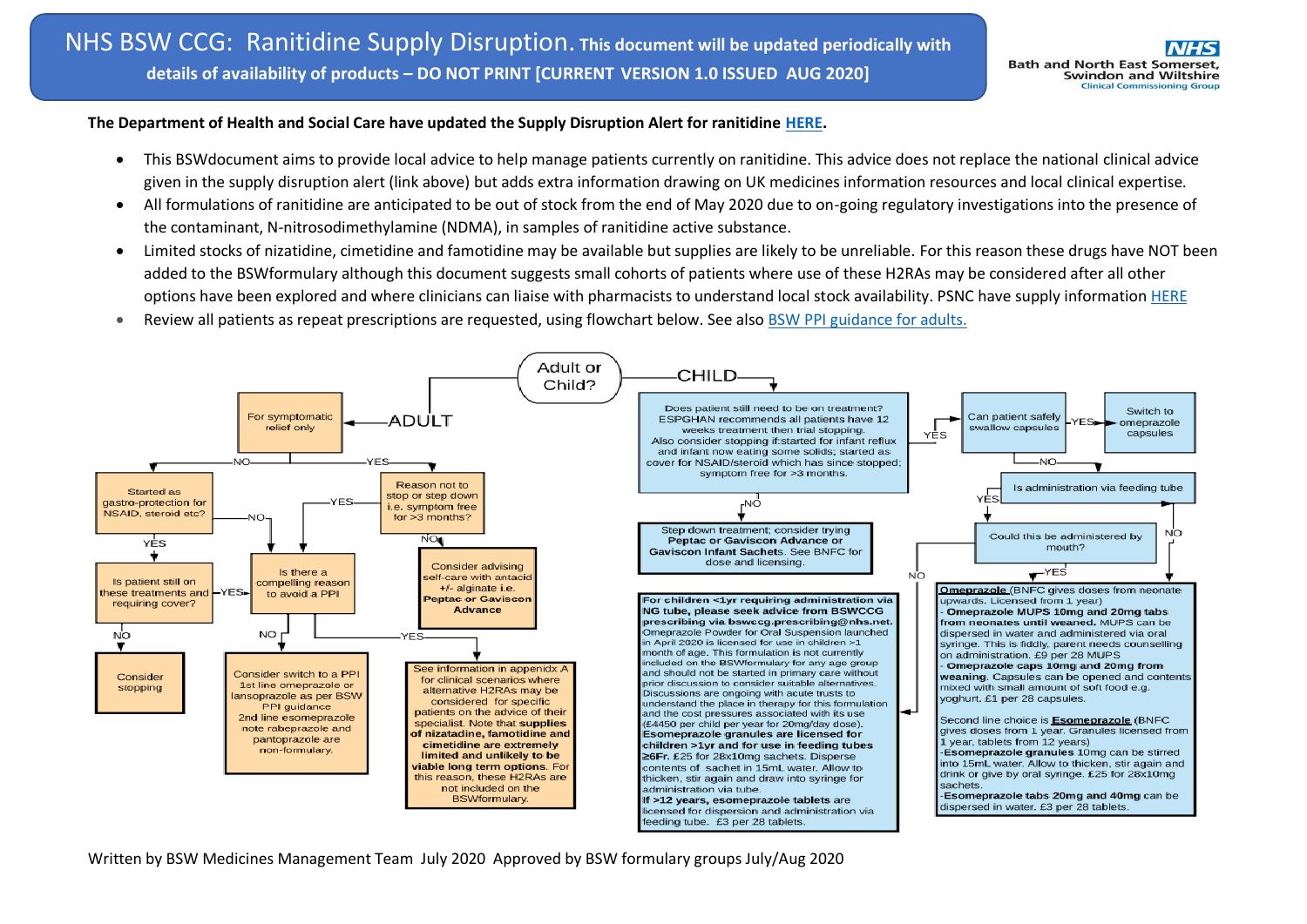### **The Department of Health and Social Care have updated the Supply Disruption Alert for ranitidine [HERE.](https://www.cas.mhra.gov.uk/ViewandAcknowledgment/ViewAlert.aspx?AlertID=102952)**

- This BSWdocument aims to provide local advice to help manage patients currently on ranitidine. This advice does not replace the national clinical advice given in the supply disruption alert (link above) but adds extra information drawing on UK medicines information resources and local clinical expertise.
- All formulations of ranitidine are anticipated to be out of stock from the end of May 2020 due to on-going regulatory investigations into the presence of the contaminant, N-nitrosodimethylamine (NDMA), in samples of ranitidine active substance.
- Limited stocks of nizatidine, cimetidine and famotidine may be available but supplies are likely to be unreliable. For this reason these drugs have NOT been added to the BSWformulary although this document suggests small cohorts of patients where use of these H2RAs may be considered after all other options have been explored and where clinicians can liaise with pharmacists to understand local stock availability. PSNC have supply information [HERE](https://psnc.org.uk/our-news/supply-notification-h2-antagonists-cimetidine-famotidine-and-nizatidine/)
- Review all patients as repeat prescriptions are requested, using flowchart below. See also [BSW PPI guidance for adults.](https://prescribing.bswccg.nhs.uk/?wpdmdl=6250)



Written by BSW Medicines Management Team July 2020 Approved by BSW formulary groups July/Aug 2020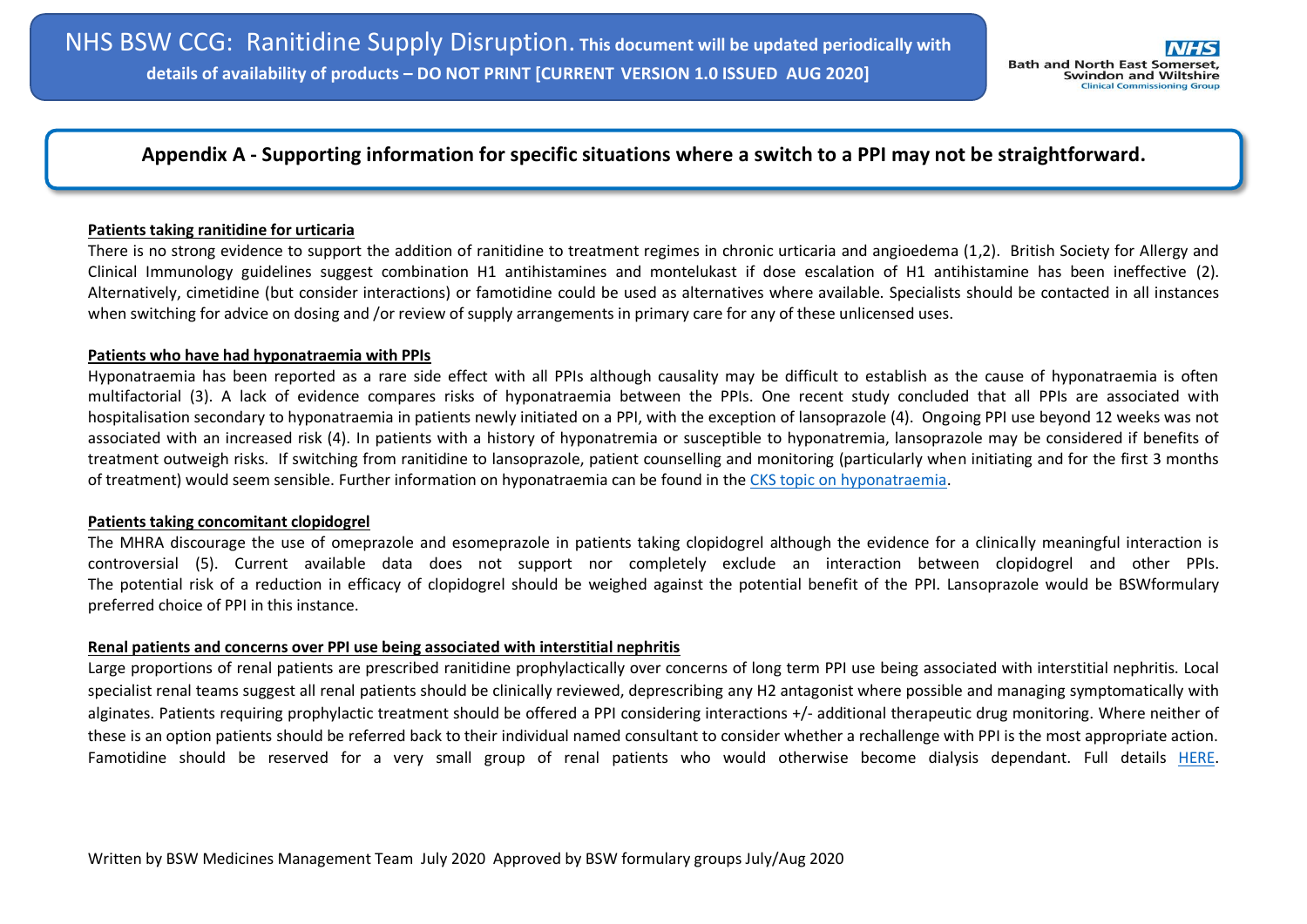# **Appendix A - Supporting information for specific situations where a switch to a PPI may not be straightforward.**

#### **Patients taking ranitidine for urticaria**

There is no strong evidence to support the addition of ranitidine to treatment regimes in chronic urticaria and angioedema (1,2). British Society for Allergy and Clinical Immunology guidelines suggest combination H1 antihistamines and montelukast if dose escalation of H1 antihistamine has been ineffective (2). Alternatively, cimetidine (but consider interactions) or famotidine could be used as alternatives where available. Specialists should be contacted in all instances when switching for advice on dosing and /or review of supply arrangements in primary care for any of these unlicensed uses.

#### **Patients who have had hyponatraemia with PPIs**

Hyponatraemia has been reported as a rare side effect with all PPIs although causality may be difficult to establish as the cause of hyponatraemia is often multifactorial (3). A lack of evidence compares risks of hyponatraemia between the PPIs. One recent study concluded that all PPIs are associated with hospitalisation secondary to hyponatraemia in patients newly initiated on a PPI, with the exception of lansoprazole (4). Ongoing PPI use beyond 12 weeks was not associated with an increased risk (4). In patients with a history of hyponatremia or susceptible to hyponatremia, lansoprazole may be considered if benefits of treatment outweigh risks. If switching from ranitidine to lansoprazole, patient counselling and monitoring (particularly when initiating and for the first 3 months of treatment) would seem sensible. Further information on hyponatraemia can be found in the [CKS topic on hyponatraemia.](https://cks.nice.org.uk/hyponatraemia)

#### **Patients taking concomitant clopidogrel**

The MHRA discourage the use of omeprazole and esomeprazole in patients taking clopidogrel although the evidence for a clinically meaningful interaction is controversial (5). Current available data does not support nor completely exclude an interaction between clopidogrel and other PPIs. The potential risk of a reduction in efficacy of clopidogrel should be weighed against the potential benefit of the PPI. Lansoprazole would be BSWformulary preferred choice of PPI in this instance.

### **Renal patients and concerns over PPI use being associated with interstitial nephritis**

Large proportions of renal patients are prescribed ranitidine prophylactically over concerns of long term PPI use being associated with interstitial nephritis. Local specialist renal teams suggest all renal patients should be clinically reviewed, deprescribing any H2 antagonist where possible and managing symptomatically with alginates. Patients requiring prophylactic treatment should be offered a PPI considering interactions +/- additional therapeutic drug monitoring. Where neither of these is an option patients should be referred back to their individual named consultant to consider whether a rechallenge with PPI is the most appropriate action. Famotidine should be reserved for a very small group of renal patients who would otherwise become dialysis dependant. Full details [HERE.](https://remedy.bnssgccg.nhs.uk/media/4303/renal-ranitidine-risk-management.pdf)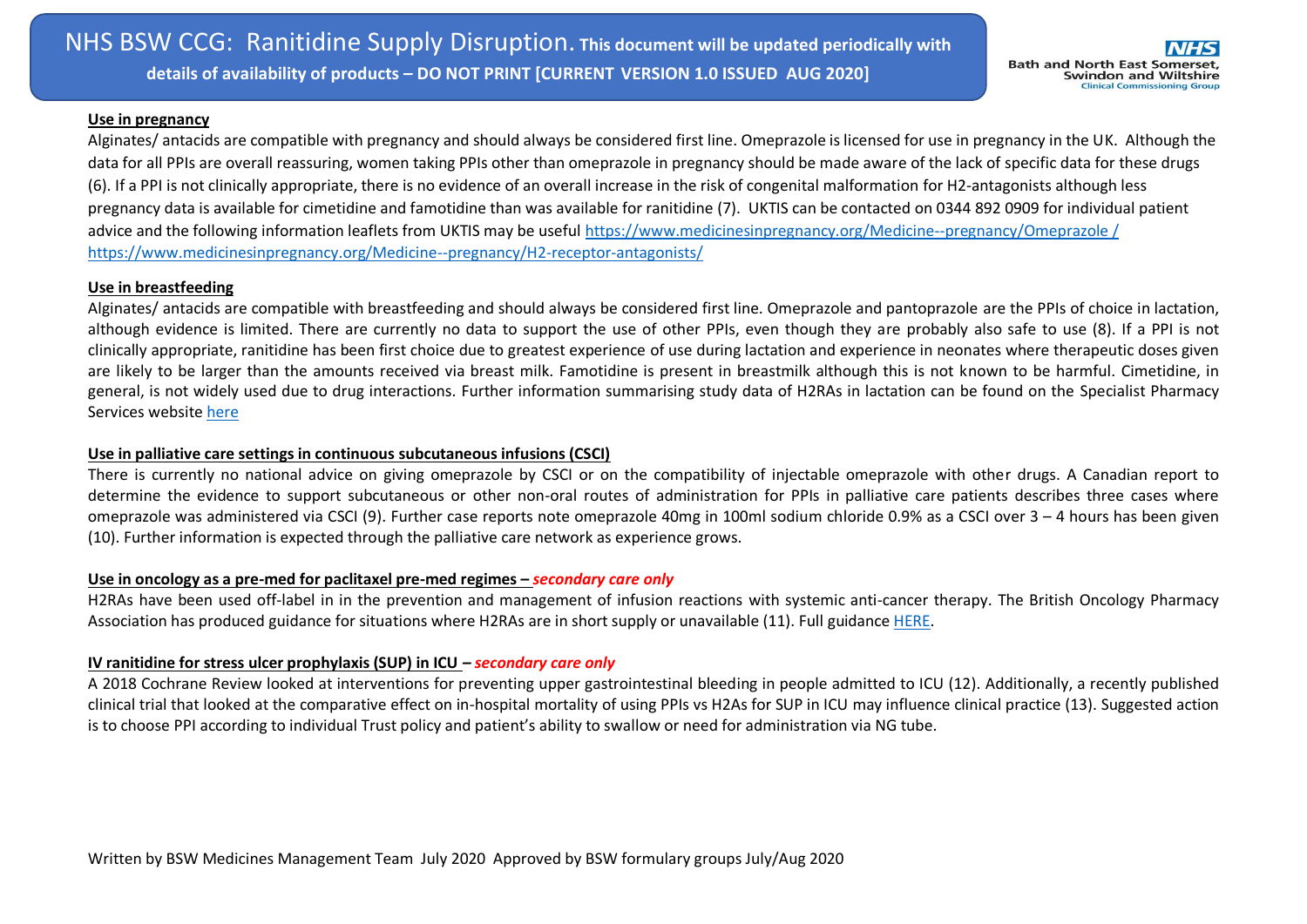### **Use in pregnancy**

Alginates/ antacids are compatible with pregnancy and should always be considered first line. Omeprazole is licensed for use in pregnancy in the UK. Although the data for all PPIs are overall reassuring, women taking PPIs other than omeprazole in pregnancy should be made aware of the lack of specific data for these drugs (6). If a PPI is not clinically appropriate, there is no evidence of an overall increase in the risk of congenital malformation for H2-antagonists although less pregnancy data is available for cimetidine and famotidine than was available for ranitidine (7). UKTIS can be contacted on 0344 892 0909 for individual patient advice and the following information leaflets from UKTIS may be useful https://www.medicinesinpregnancy.org/Medicine--pregnancy/Omeprazole / <https://www.medicinesinpregnancy.org/Medicine--pregnancy/H2-receptor-antagonists/>

### **Use in breastfeeding**

Alginates/ antacids are compatible with breastfeeding and should always be considered first line. Omeprazole and pantoprazole are the PPIs of choice in lactation, although evidence is limited. There are currently no data to support the use of other PPIs, even though they are probably also safe to use (8). If a PPI is not clinically appropriate, ranitidine has been first choice due to greatest experience of use during lactation and experience in neonates where therapeutic doses given are likely to be larger than the amounts received via breast milk. Famotidine is present in breastmilk although this is not known to be harmful. Cimetidine, in general, is not widely used due to drug interactions. Further information summarising study data of H2RAs in lactation can be found on the Specialist Pharmacy Services website [here](https://www.sps.nhs.uk/articles/histamine-h2-receptor-antagonists-are-they-safe-in-breastfeeding/)

# **Use in palliative care settings in continuous subcutaneous infusions (CSCI)**

There is currently no national advice on giving omeprazole by CSCI or on the compatibility of injectable omeprazole with other drugs. A Canadian report to determine the evidence to support subcutaneous or other non-oral routes of administration for PPIs in palliative care patients describes three cases where omeprazole was administered via CSCI (9). Further case reports note omeprazole 40mg in 100ml sodium chloride 0.9% as a CSCI over 3 – 4 hours has been given (10). Further information is expected through the palliative care network as experience grows.

# Use in oncology as a pre-med for paclitaxel pre-med regimes – *secondary care only*

H2RAs have been used off-label in in the prevention and management of infusion reactions with systemic anti-cancer therapy. The British Oncology Pharmacy Association has produced guidance for situations where H2RAs are in short supply or unavailable (11). Full guidance [HERE.](https://www.bopa.org.uk/resources/guidance-on-the-use-of-h2-antagonists-for-the-prevention-and-management-of-hypersensitivity/)

## **IV ranitidine for stress ulcer prophylaxis (SUP) in ICU** *– secondary care only*

A 2018 Cochrane Review looked at interventions for preventing upper gastrointestinal bleeding in people admitted to ICU (12). Additionally, a recently published clinical trial that looked at the comparative effect on in-hospital mortality of using PPIs vs H2As for SUP in ICU may influence clinical practice (13). Suggested action is to choose PPI according to individual Trust policy and patient's ability to swallow or need for administration via NG tube.